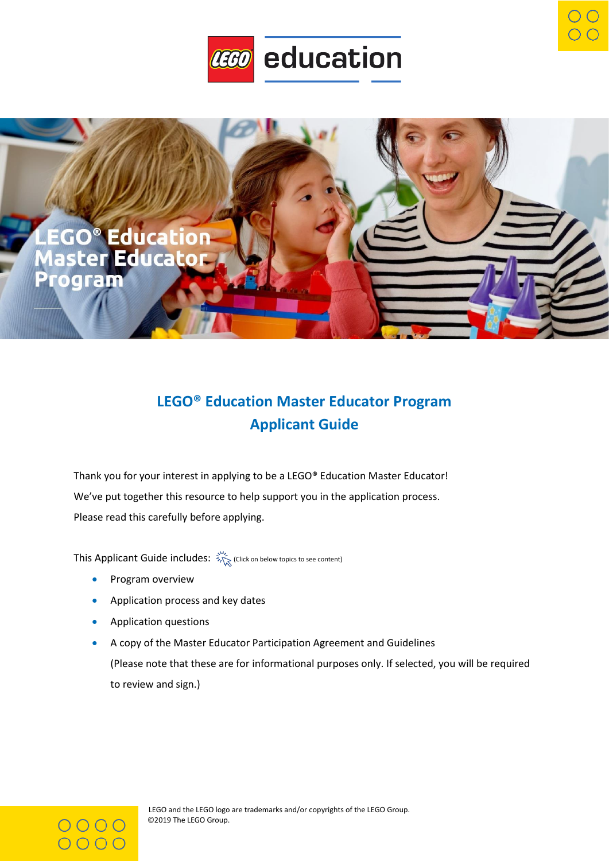



# **LEGO® Education Master Educator Program Applicant Guide**

Thank you for your interest in applying to be a LEGO® Education Master Educator! We've put together this resource to help support you in the application process. Please read this carefully before applying.

This Applicant Guide includes:  $\frac{S_{\text{C}}^{M_e}}{S_{\text{C}}^{M_e}}$  (Click on below topics to see content)

- [Program overview](#page-1-0)
- [Application process and key dates](#page-3-0)
- [Application questions](#page-5-0)
- [A copy of the Master Educator Participation Agreement and Guidelines](#page-8-0) (Please note that these are for informational purposes only. If selected, you will be required to review and sign.)

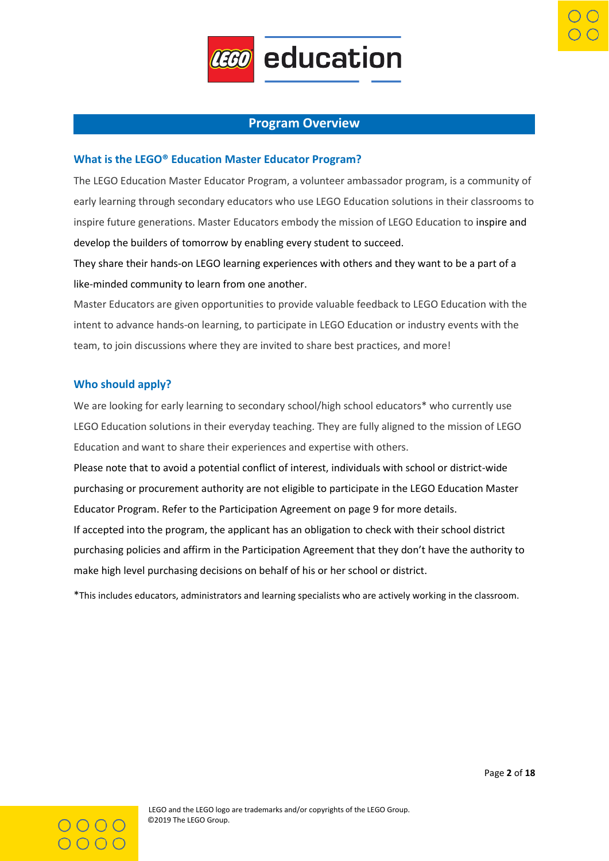

### **Program Overview**

#### <span id="page-1-0"></span>**What is the LEGO® Education Master Educator Program?**

The LEGO Education Master Educator Program, a volunteer ambassador program, is a community of early learning through secondary educators who use LEGO Education solutions in their classrooms to inspire future generations. Master Educators embody the mission of LEGO Education to inspire and develop the builders of tomorrow by enabling every student to succeed.

They share their hands-on LEGO learning experiences with others and they want to be a part of a like-minded community to learn from one another.

Master Educators are given opportunities to provide valuable feedback to LEGO Education with the intent to advance hands-on learning, to participate in LEGO Education or industry events with the team, to join discussions where they are invited to share best practices, and more!

#### **Who should apply?**

We are looking for early learning to secondary school/high school educators\* who currently use LEGO Education solutions in their everyday teaching. They are fully aligned to the mission of LEGO Education and want to share their experiences and expertise with others.

Please note that to avoid a potential conflict of interest, individuals with school or district-wide purchasing or procurement authority are not eligible to participate in the LEGO Education Master Educator Program. Refer to the Participation Agreement on page 9 for more details. If accepted into the program, the applicant has an obligation to check with their school district

purchasing policies and affirm in the Participation Agreement that they don't have the authority to make high level purchasing decisions on behalf of his or her school or district.

\*This includes educators, administrators and learning specialists who are actively working in the classroom.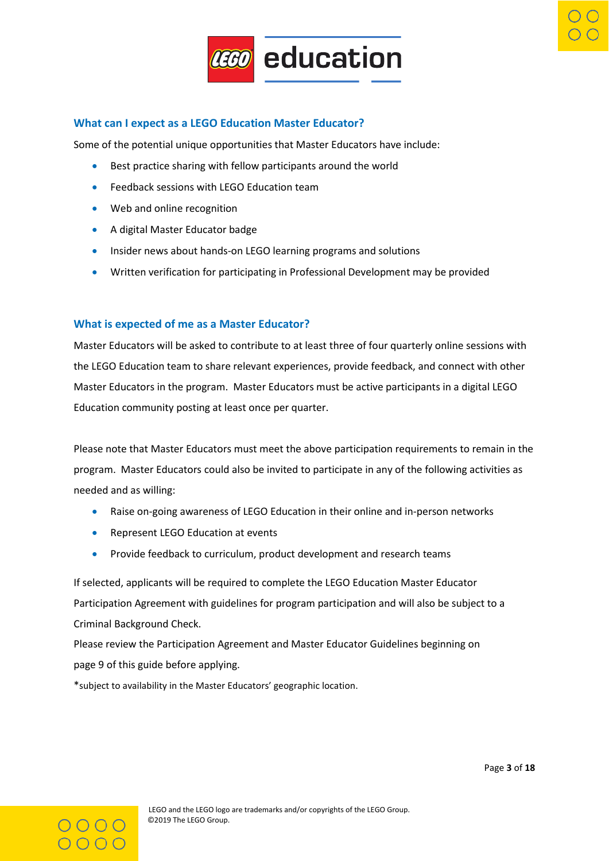

### **What can I expect as a LEGO Education Master Educator?**

Some of the potential unique opportunities that Master Educators have include:

- Best practice sharing with fellow participants around the world
- Feedback sessions with LEGO Education team
- Web and online recognition
- A digital Master Educator badge
- Insider news about hands-on LEGO learning programs and solutions
- Written verification for participating in Professional Development may be provided

#### **What is expected of me as a Master Educator?**

Master Educators will be asked to contribute to at least three of four quarterly online sessions with the LEGO Education team to share relevant experiences, provide feedback, and connect with other Master Educators in the program. Master Educators must be active participants in a digital LEGO Education community posting at least once per quarter.

Please note that Master Educators must meet the above participation requirements to remain in the program. Master Educators could also be invited to participate in any of the following activities as needed and as willing:

- Raise on-going awareness of LEGO Education in their online and in-person networks
- Represent LEGO Education at events
- Provide feedback to curriculum, product development and research teams

If selected, applicants will be required to complete the LEGO Education Master Educator Participation Agreement with guidelines for program participation and will also be subject to a Criminal Background Check.

Please review the Participation Agreement and Master Educator Guidelines beginning on page 9 of this guide before applying.

\*subject to availability in the Master Educators' geographic location.

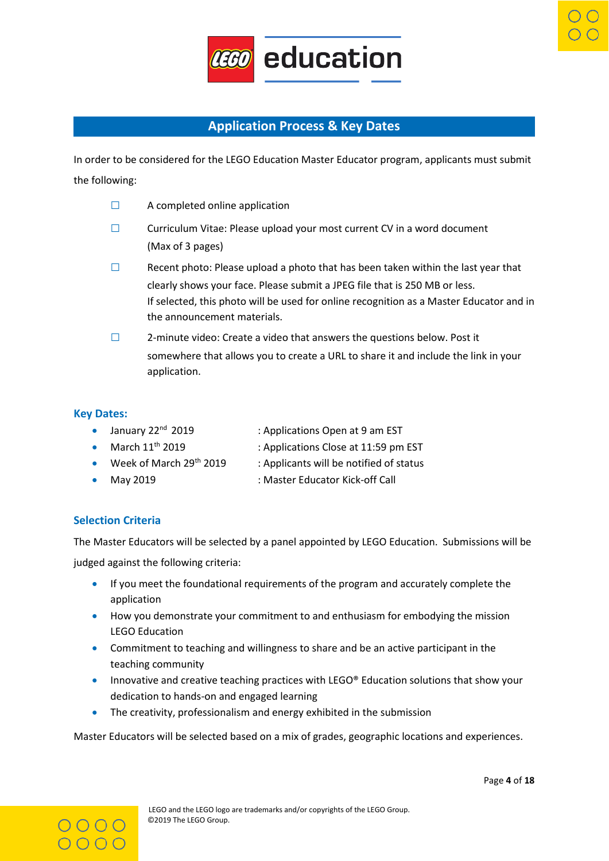

# **Application Process & Key Dates**

<span id="page-3-0"></span>In order to be considered for the LEGO Education Master Educator program, applicants must submit the following:

- **□** A completed online application
- **□** Curriculum Vitae: Please upload your most current CV in a word document (Max of 3 pages)
- **□** Recent photo: Please upload a photo that has been taken within the last year that clearly shows your face. Please submit a JPEG file that is 250 MB or less. If selected, this photo will be used for online recognition as a Master Educator and in the announcement materials.
- **□** 2-minute video: Create a video that answers the questions below. Post it somewhere that allows you to create a URL to share it and include the link in your application.

# **Key Dates:**

- January 22<sup>nd</sup> 2019 : Applications Open at 9 am EST
- March 11<sup>th</sup> 2019 : Applications Close at 11:59 pm EST
- Week of March 29<sup>th</sup> 2019 : Applicants will be notified of status
- 
- May 2019 **Master Educator Kick-off Call** SMA CONTERNATION **:** Master Educator Kick-off Call

# **Selection Criteria**

The Master Educators will be selected by a panel appointed by LEGO Education. Submissions will be judged against the following criteria:

- If you meet the foundational requirements of the program and accurately complete the application
- How you demonstrate your commitment to and enthusiasm for embodying the mission LEGO Education
- Commitment to teaching and willingness to share and be an active participant in the teaching community
- Innovative and creative teaching practices with LEGO® Education solutions that show your dedication to hands-on and engaged learning
- The creativity, professionalism and energy exhibited in the submission

Master Educators will be selected based on a mix of grades, geographic locations and experiences.

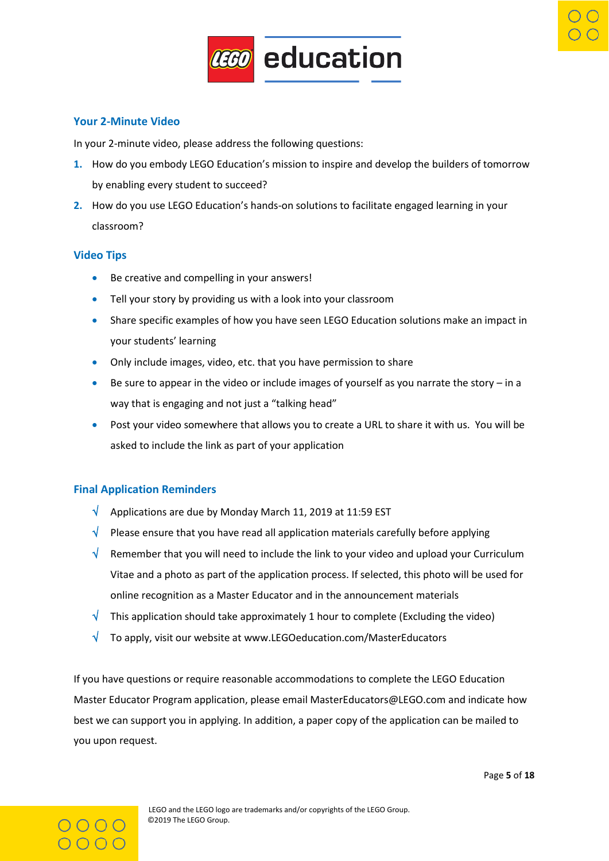

# **Your 2-Minute Video**

In your 2-minute video, please address the following questions:

- **1.** How do you embody LEGO Education's mission to inspire and develop the builders of tomorrow by enabling every student to succeed?
- **2.** How do you use LEGO Education's hands-on solutions to facilitate engaged learning in your classroom?

# **Video Tips**

- Be creative and compelling in your answers!
- Tell your story by providing us with a look into your classroom
- Share specific examples of how you have seen LEGO Education solutions make an impact in your students' learning
- Only include images, video, etc. that you have permission to share
- **•** Be sure to appear in the video or include images of yourself as you narrate the story  $-$  in a way that is engaging and not just a "talking head"
- Post your video somewhere that allows you to create a URL to share it with us. You will be asked to include the link as part of your application

# **Final Application Reminders**

- $\sqrt{ }$  Applications are due by Monday March 11, 2019 at 11:59 EST
- $\sqrt{\phantom{a}}$  Please ensure that you have read all application materials carefully before applying
- $\sqrt{\phantom{a}}$  Remember that you will need to include the link to your video and upload your Curriculum Vitae and a photo as part of the application process. If selected, this photo will be used for online recognition as a Master Educator and in the announcement materials
- $\sqrt{\phantom{a}}$  This application should take approximately 1 hour to complete (Excluding the video)
- $\sqrt{\phantom{a}}$  To apply, visit our website at www.LEGOeducation.com/MasterEducators

If you have questions or require reasonable accommodations to complete the LEGO Education Master Educator Program application, please email MasterEducators@LEGO.com and indicate how best we can support you in applying. In addition, a paper copy of the application can be mailed to you upon request.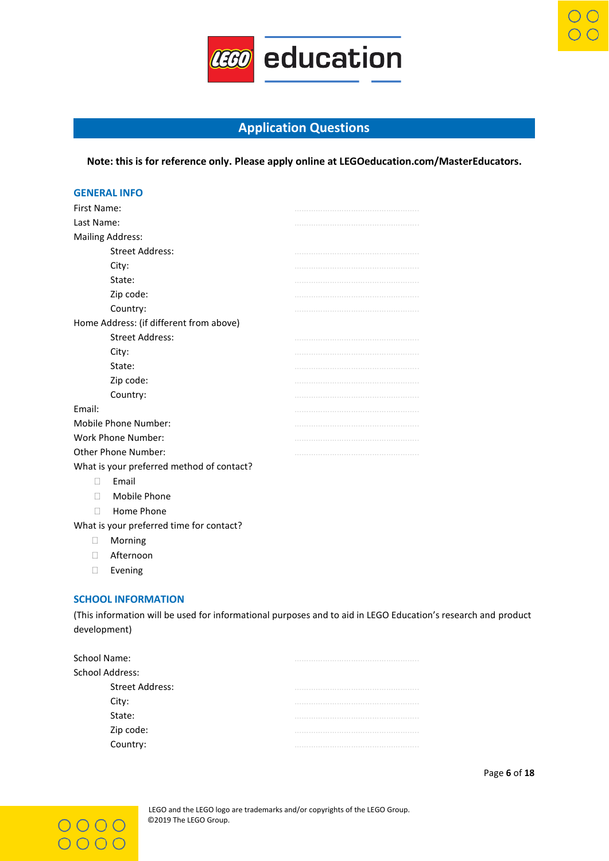

# **Application Questions**

<span id="page-5-0"></span>**Note: this is for reference only. Please apply online at LEGOeducation.com/MasterEducators.**

| <b>GENERAL INFO</b>                       |  |
|-------------------------------------------|--|
| First Name:                               |  |
| Last Name:                                |  |
| <b>Mailing Address:</b>                   |  |
| <b>Street Address:</b>                    |  |
| City:                                     |  |
| State:                                    |  |
| Zip code:                                 |  |
| Country:                                  |  |
| Home Address: (if different from above)   |  |
| <b>Street Address:</b>                    |  |
| City:                                     |  |
| State:                                    |  |
| Zip code:                                 |  |
| Country:                                  |  |
| Email:                                    |  |
| <b>Mobile Phone Number:</b>               |  |
| <b>Work Phone Number:</b>                 |  |
| Other Phone Number:                       |  |
| What is your preferred method of contact? |  |
| Email<br>$\mathbf{L}$                     |  |
| Mobile Phone<br>П                         |  |
| Home Phone<br>$\Box$                      |  |
| What is your preferred time for contact?  |  |
| Morning<br>□                              |  |
| Afternoon<br>$\overline{\phantom{a}}$     |  |
| Evening<br>$\overline{\phantom{a}}$       |  |

#### **SCHOOL INFORMATION**

(This information will be used for informational purposes and to aid in LEGO Education's research and product development)

| <b>School Name:</b>    |  |
|------------------------|--|
| School Address:        |  |
| <b>Street Address:</b> |  |
| City:                  |  |
| State:                 |  |
|                        |  |
| Zip code:<br>Country:  |  |
|                        |  |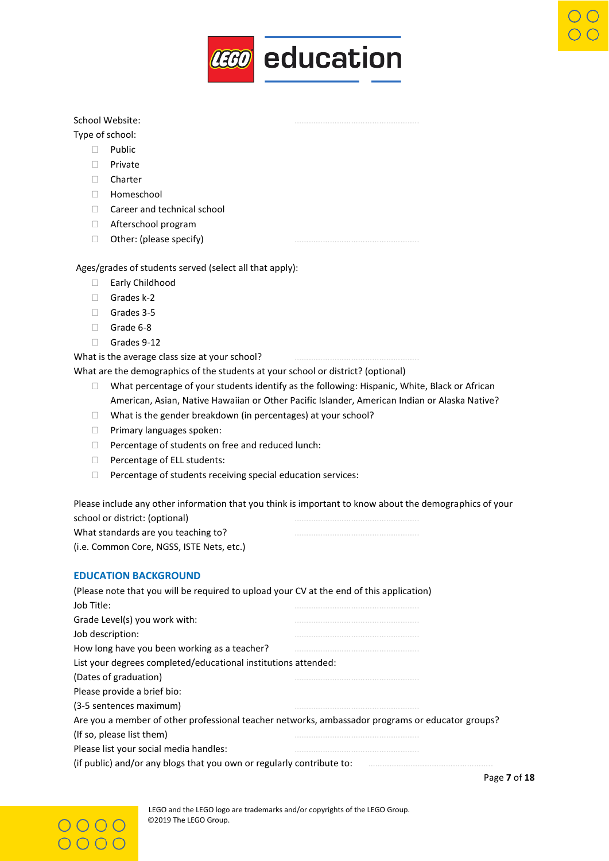

#### School Website:

#### Type of school:

- D Public
- n Private
- Charter
- Homeschool
- □ Career and technical school
- □ Afterschool program
- $\Box$  Other: (please specify)

#### Ages/grades of students served (select all that apply):

- Early Childhood
- Grades k-2
- Grades 3-5
- Grade 6-8
- Grades 9-12

What is the average class size at your school?

What are the demographics of the students at your school or district? (optional)

- $\Box$  What percentage of your students identify as the following: Hispanic, White, Black or African American, Asian, Native Hawaiian or Other Pacific Islander, American Indian or Alaska Native?
- $\Box$  What is the gender breakdown (in percentages) at your school?
- **Primary languages spoken:**
- $\Box$  Percentage of students on free and reduced lunch:
- □ Percentage of ELL students:
- Percentage of students receiving special education services:

Please include any other information that you think is important to know about the demographics of your school or district: (optional) What standards are you teaching to?

(i.e. Common Core, NGSS, ISTE Nets, etc.)

### **EDUCATION BACKGROUND**

| (Please note that you will be required to upload your CV at the end of this application)         |
|--------------------------------------------------------------------------------------------------|
|                                                                                                  |
|                                                                                                  |
|                                                                                                  |
|                                                                                                  |
| List your degrees completed/educational institutions attended:                                   |
|                                                                                                  |
|                                                                                                  |
|                                                                                                  |
| Are you a member of other professional teacher networks, ambassador programs or educator groups? |
|                                                                                                  |
|                                                                                                  |
| (if public) and/or any blogs that you own or regularly contribute to:                            |
|                                                                                                  |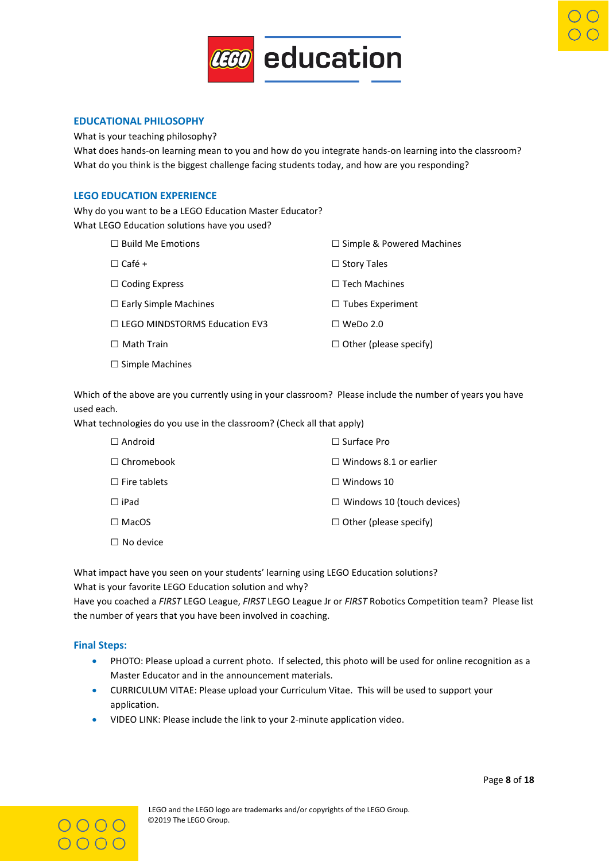

#### **EDUCATIONAL PHILOSOPHY**

What is your teaching philosophy?

What does hands-on learning mean to you and how do you integrate hands-on learning into the classroom? What do you think is the biggest challenge facing students today, and how are you responding?

#### **LEGO EDUCATION EXPERIENCE**

Why do you want to be a LEGO Education Master Educator? What LEGO Education solutions have you used?

| $\Box$ Build Me Emotions             | $\Box$ Simple & Powered Machines |
|--------------------------------------|----------------------------------|
| $\Box$ Café +                        | $\Box$ Story Tales               |
| $\Box$ Coding Express                | $\Box$ Tech Machines             |
| $\Box$ Early Simple Machines         | $\Box$ Tubes Experiment          |
| $\Box$ LEGO MINDSTORMS Education EV3 | $\Box$ WeDo 2.0                  |
| $\Box$ Math Train                    | $\Box$ Other (please specify)    |
| $\Box$ Simple Machines               |                                  |
|                                      |                                  |

Which of the above are you currently using in your classroom? Please include the number of years you have used each.

What technologies do you use in the classroom? (Check all that apply)

| $\Box$ Android      | $\Box$ Surface Pro                |
|---------------------|-----------------------------------|
| $\Box$ Chromebook   | $\Box$ Windows 8.1 or earlier     |
| $\Box$ Fire tablets | $\Box$ Windows 10                 |
| $\Box$ iPad         | $\Box$ Windows 10 (touch devices) |
| $\Box$ MacOS        | $\Box$ Other (please specify)     |
| $\Box$ No device    |                                   |

What impact have you seen on your students' learning using LEGO Education solutions? What is your favorite LEGO Education solution and why?

Have you coached a *FIRST* LEGO League, *FIRST* LEGO League Jr or *FIRST* Robotics Competition team? Please list the number of years that you have been involved in coaching.

#### **Final Steps:**

- PHOTO: Please upload a current photo. If selected, this photo will be used for online recognition as a Master Educator and in the announcement materials.
- CURRICULUM VITAE: Please upload your Curriculum Vitae. This will be used to support your application.
- VIDEO LINK: Please include the link to your 2-minute application video.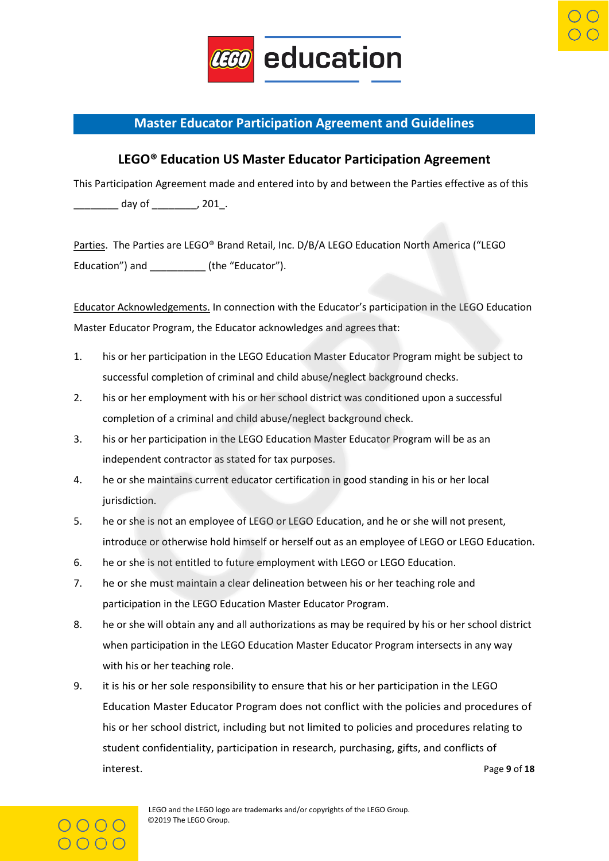

# <span id="page-8-0"></span>**Master Educator Participation Agreement and Guidelines**

# **LEGO® Education US Master Educator Participation Agreement**

This Participation Agreement made and entered into by and between the Parties effective as of this \_\_\_\_\_\_\_\_ day of \_\_\_\_\_\_\_\_, 201\_.

Parties. The Parties are LEGO® Brand Retail, Inc. D/B/A LEGO Education North America ("LEGO Education") and \_\_\_\_\_\_\_\_\_\_\_\_ (the "Educator").

Educator Acknowledgements. In connection with the Educator's participation in the LEGO Education Master Educator Program, the Educator acknowledges and agrees that:

- 1. his or her participation in the LEGO Education Master Educator Program might be subject to successful completion of criminal and child abuse/neglect background checks.
- 2. his or her employment with his or her school district was conditioned upon a successful completion of a criminal and child abuse/neglect background check.
- 3. his or her participation in the LEGO Education Master Educator Program will be as an independent contractor as stated for tax purposes.
- 4. he or she maintains current educator certification in good standing in his or her local jurisdiction.
- 5. he or she is not an employee of LEGO or LEGO Education, and he or she will not present, introduce or otherwise hold himself or herself out as an employee of LEGO or LEGO Education.
- 6. he or she is not entitled to future employment with LEGO or LEGO Education.
- 7. he or she must maintain a clear delineation between his or her teaching role and participation in the LEGO Education Master Educator Program.
- 8. he or she will obtain any and all authorizations as may be required by his or her school district when participation in the LEGO Education Master Educator Program intersects in any way with his or her teaching role.
- 9. it is his or her sole responsibility to ensure that his or her participation in the LEGO Education Master Educator Program does not conflict with the policies and procedures of his or her school district, including but not limited to policies and procedures relating to student confidentiality, participation in research, purchasing, gifts, and conflicts of interest. Page **9** of **18**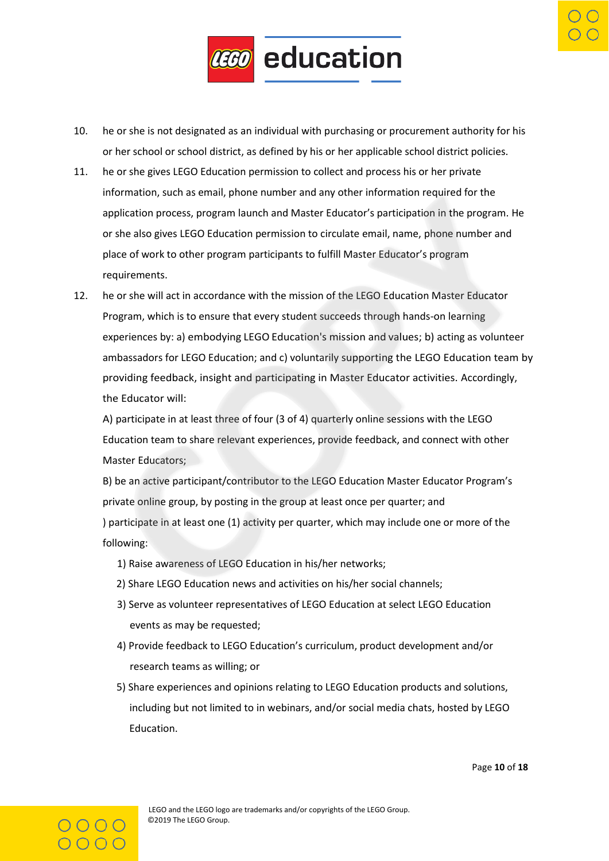

- 10. he or she is not designated as an individual with purchasing or procurement authority for his or her school or school district, as defined by his or her applicable school district policies.
- 11. he or she gives LEGO Education permission to collect and process his or her private information, such as email, phone number and any other information required for the application process, program launch and Master Educator's participation in the program. He or she also gives LEGO Education permission to circulate email, name, phone number and place of work to other program participants to fulfill Master Educator's program requirements.
- 12. he or she will act in accordance with the mission of the LEGO Education Master Educator Program, which is to ensure that every student succeeds through hands-on learning experiences by: a) embodying LEGO Education's mission and values; b) acting as volunteer ambassadors for LEGO Education; and c) voluntarily supporting the LEGO Education team by providing feedback, insight and participating in Master Educator activities. Accordingly, the Educator will:

A) participate in at least three of four (3 of 4) quarterly online sessions with the LEGO Education team to share relevant experiences, provide feedback, and connect with other Master Educators:

B) be an active participant/contributor to the LEGO Education Master Educator Program's private online group, by posting in the group at least once per quarter; and ) participate in at least one (1) activity per quarter, which may include one or more of the following:

- 1) Raise awareness of LEGO Education in his/her networks;
- 2) Share LEGO Education news and activities on his/her social channels;
- 3) Serve as volunteer representatives of LEGO Education at select LEGO Education events as may be requested;
- 4) Provide feedback to LEGO Education's curriculum, product development and/or research teams as willing; or
- 5) Share experiences and opinions relating to LEGO Education products and solutions, including but not limited to in webinars, and/or social media chats, hosted by LEGO Education.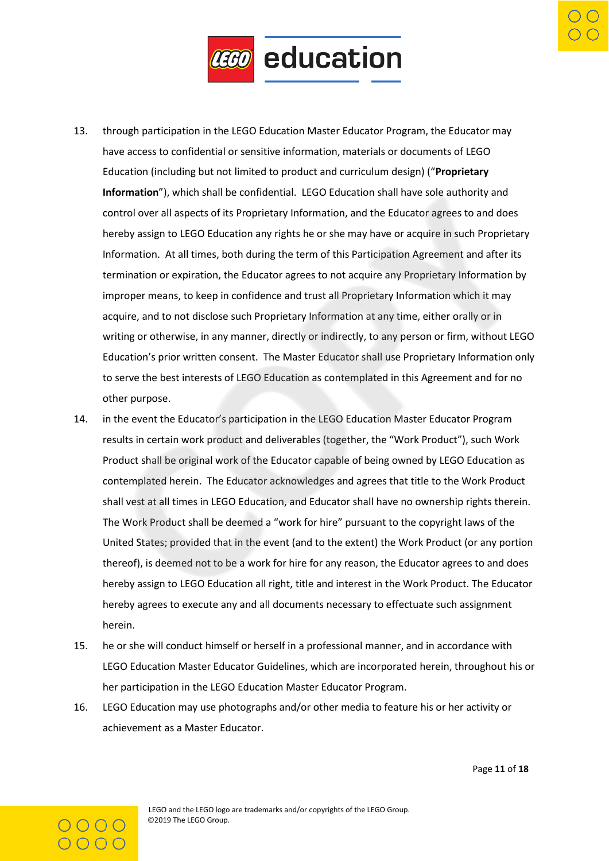

- 13. through participation in the LEGO Education Master Educator Program, the Educator may have access to confidential or sensitive information, materials or documents of LEGO Education (including but not limited to product and curriculum design) ("**Proprietary Information**"), which shall be confidential. LEGO Education shall have sole authority and control over all aspects of its Proprietary Information, and the Educator agrees to and does hereby assign to LEGO Education any rights he or she may have or acquire in such Proprietary Information. At all times, both during the term of this Participation Agreement and after its termination or expiration, the Educator agrees to not acquire any Proprietary Information by improper means, to keep in confidence and trust all Proprietary Information which it may acquire, and to not disclose such Proprietary Information at any time, either orally or in writing or otherwise, in any manner, directly or indirectly, to any person or firm, without LEGO Education's prior written consent. The Master Educator shall use Proprietary Information only to serve the best interests of LEGO Education as contemplated in this Agreement and for no other purpose.
- 14. in the event the Educator's participation in the LEGO Education Master Educator Program results in certain work product and deliverables (together, the "Work Product"), such Work Product shall be original work of the Educator capable of being owned by LEGO Education as contemplated herein. The Educator acknowledges and agrees that title to the Work Product shall vest at all times in LEGO Education, and Educator shall have no ownership rights therein. The Work Product shall be deemed a "work for hire" pursuant to the copyright laws of the United States; provided that in the event (and to the extent) the Work Product (or any portion thereof), is deemed not to be a work for hire for any reason, the Educator agrees to and does hereby assign to LEGO Education all right, title and interest in the Work Product. The Educator hereby agrees to execute any and all documents necessary to effectuate such assignment herein.
- 15. he or she will conduct himself or herself in a professional manner, and in accordance with LEGO Education Master Educator Guidelines, which are incorporated herein, throughout his or her participation in the LEGO Education Master Educator Program.
- 16. LEGO Education may use photographs and/or other media to feature his or her activity or achievement as a Master Educator.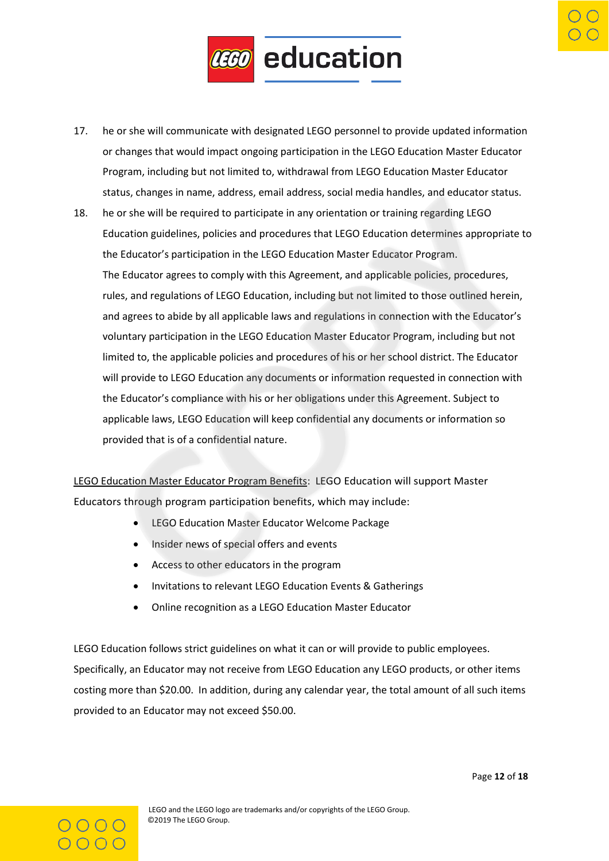

- 17. he or she will communicate with designated LEGO personnel to provide updated information or changes that would impact ongoing participation in the LEGO Education Master Educator Program, including but not limited to, withdrawal from LEGO Education Master Educator status, changes in name, address, email address, social media handles, and educator status.
- 18. he or she will be required to participate in any orientation or training regarding LEGO Education guidelines, policies and procedures that LEGO Education determines appropriate to the Educator's participation in the LEGO Education Master Educator Program. The Educator agrees to comply with this Agreement, and applicable policies, procedures, rules, and regulations of LEGO Education, including but not limited to those outlined herein, and agrees to abide by all applicable laws and regulations in connection with the Educator's voluntary participation in the LEGO Education Master Educator Program, including but not limited to, the applicable policies and procedures of his or her school district. The Educator will provide to LEGO Education any documents or information requested in connection with the Educator's compliance with his or her obligations under this Agreement. Subject to applicable laws, LEGO Education will keep confidential any documents or information so provided that is of a confidential nature.

LEGO Education Master Educator Program Benefits: LEGO Education will support Master Educators through program participation benefits, which may include:

- LEGO Education Master Educator Welcome Package
- Insider news of special offers and events
- Access to other educators in the program
- Invitations to relevant LEGO Education Events & Gatherings
- Online recognition as a LEGO Education Master Educator

LEGO Education follows strict guidelines on what it can or will provide to public employees. Specifically, an Educator may not receive from LEGO Education any LEGO products, or other items costing more than \$20.00. In addition, during any calendar year, the total amount of all such items provided to an Educator may not exceed \$50.00.

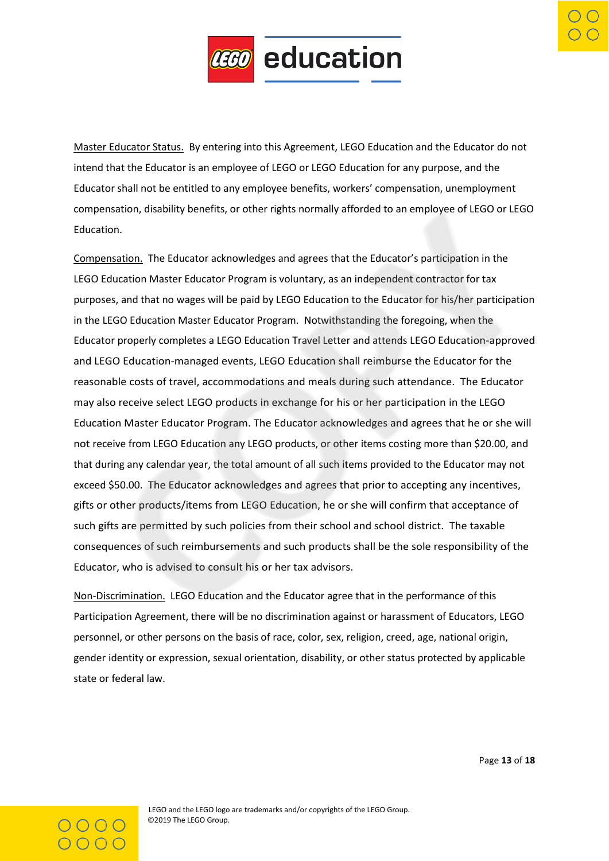

Master Educator Status. By entering into this Agreement, LEGO Education and the Educator do not intend that the Educator is an employee of LEGO or LEGO Education for any purpose, and the Educator shall not be entitled to any employee benefits, workers' compensation, unemployment compensation, disability benefits, or other rights normally afforded to an employee of LEGO or LEGO Education.

Compensation. The Educator acknowledges and agrees that the Educator's participation in the LEGO Education Master Educator Program is voluntary, as an independent contractor for tax purposes, and that no wages will be paid by LEGO Education to the Educator for his/her participation in the LEGO Education Master Educator Program. Notwithstanding the foregoing, when the Educator properly completes a LEGO Education Travel Letter and attends LEGO Education-approved and LEGO Education-managed events, LEGO Education shall reimburse the Educator for the reasonable costs of travel, accommodations and meals during such attendance. The Educator may also receive select LEGO products in exchange for his or her participation in the LEGO Education Master Educator Program. The Educator acknowledges and agrees that he or she will not receive from LEGO Education any LEGO products, or other items costing more than \$20.00, and that during any calendar year, the total amount of all such items provided to the Educator may not exceed \$50.00. The Educator acknowledges and agrees that prior to accepting any incentives, gifts or other products/items from LEGO Education, he or she will confirm that acceptance of such gifts are permitted by such policies from their school and school district. The taxable consequences of such reimbursements and such products shall be the sole responsibility of the Educator, who is advised to consult his or her tax advisors.

Non-Discrimination. LEGO Education and the Educator agree that in the performance of this Participation Agreement, there will be no discrimination against or harassment of Educators, LEGO personnel, or other persons on the basis of race, color, sex, religion, creed, age, national origin, gender identity or expression, sexual orientation, disability, or other status protected by applicable state or federal law.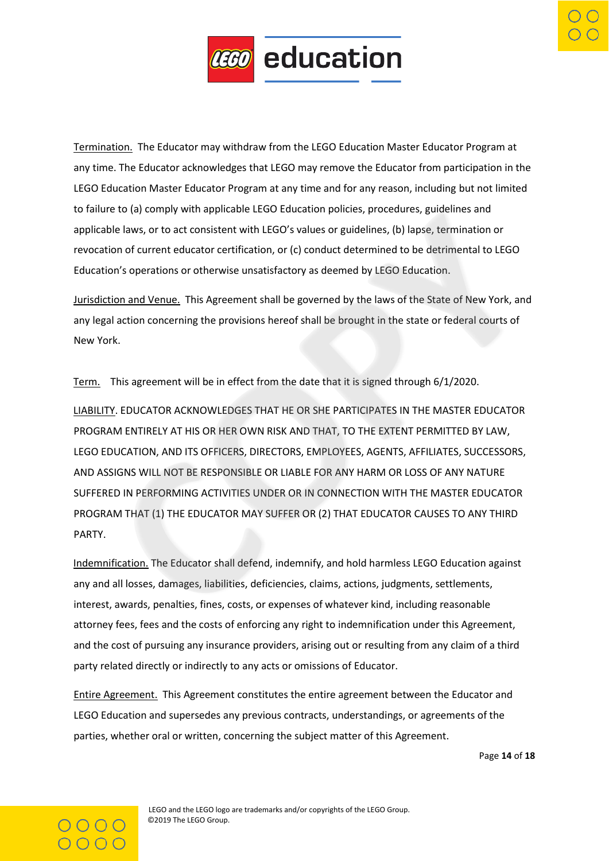

Termination. The Educator may withdraw from the LEGO Education Master Educator Program at any time. The Educator acknowledges that LEGO may remove the Educator from participation in the LEGO Education Master Educator Program at any time and for any reason, including but not limited to failure to (a) comply with applicable LEGO Education policies, procedures, guidelines and applicable laws, or to act consistent with LEGO's values or guidelines, (b) lapse, termination or revocation of current educator certification, or (c) conduct determined to be detrimental to LEGO Education's operations or otherwise unsatisfactory as deemed by LEGO Education.

Jurisdiction and Venue. This Agreement shall be governed by the laws of the State of New York, and any legal action concerning the provisions hereof shall be brought in the state or federal courts of New York.

Term. This agreement will be in effect from the date that it is signed through 6/1/2020.

LIABILITY. EDUCATOR ACKNOWLEDGES THAT HE OR SHE PARTICIPATES IN THE MASTER EDUCATOR PROGRAM ENTIRELY AT HIS OR HER OWN RISK AND THAT, TO THE EXTENT PERMITTED BY LAW, LEGO EDUCATION, AND ITS OFFICERS, DIRECTORS, EMPLOYEES, AGENTS, AFFILIATES, SUCCESSORS, AND ASSIGNS WILL NOT BE RESPONSIBLE OR LIABLE FOR ANY HARM OR LOSS OF ANY NATURE SUFFERED IN PERFORMING ACTIVITIES UNDER OR IN CONNECTION WITH THE MASTER EDUCATOR PROGRAM THAT (1) THE EDUCATOR MAY SUFFER OR (2) THAT EDUCATOR CAUSES TO ANY THIRD PARTY.

Indemnification. The Educator shall defend, indemnify, and hold harmless LEGO Education against any and all losses, damages, liabilities, deficiencies, claims, actions, judgments, settlements, interest, awards, penalties, fines, costs, or expenses of whatever kind, including reasonable attorney fees, fees and the costs of enforcing any right to indemnification under this Agreement, and the cost of pursuing any insurance providers, arising out or resulting from any claim of a third party related directly or indirectly to any acts or omissions of Educator.

Entire Agreement. This Agreement constitutes the entire agreement between the Educator and LEGO Education and supersedes any previous contracts, understandings, or agreements of the parties, whether oral or written, concerning the subject matter of this Agreement.

Page **14** of **18**

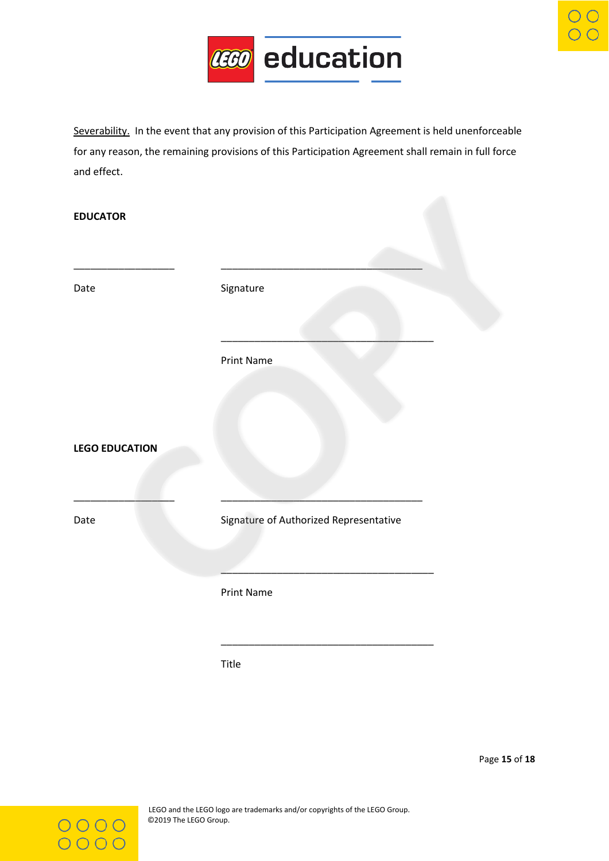

Severability. In the event that any provision of this Participation Agreement is held unenforceable for any reason, the remaining provisions of this Participation Agreement shall remain in full force and effect.

#### **EDUCATOR**

| Date                  | Signature                              |
|-----------------------|----------------------------------------|
|                       | Print Name                             |
| <b>LEGO EDUCATION</b> |                                        |
| Date                  | Signature of Authorized Representative |
|                       | Print Name                             |
|                       |                                        |

Title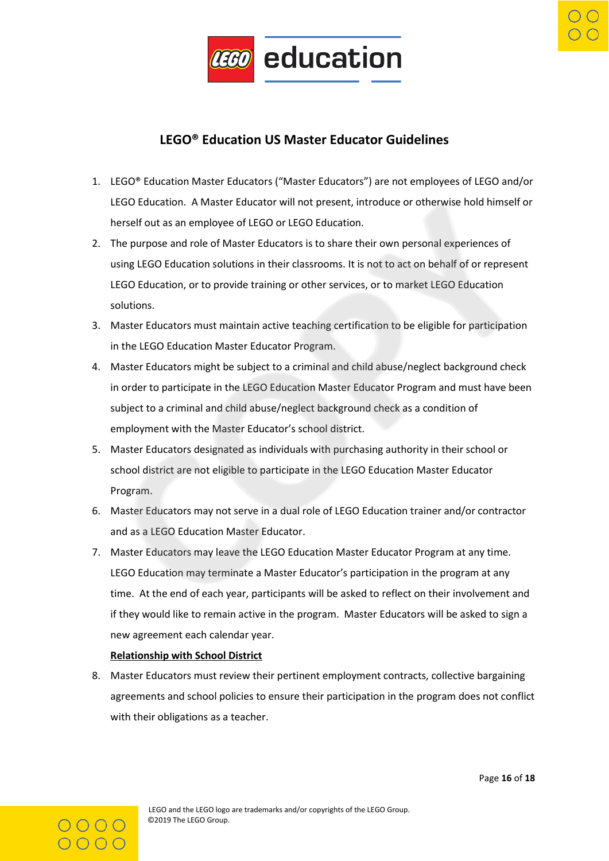

# **LEGO® Education US Master Educator Guidelines**

- 1. LEGO® Education Master Educators ("Master Educators") are not employees of LEGO and/or LEGO Education. A Master Educator will not present, introduce or otherwise hold himself or herself out as an employee of LEGO or LEGO Education.
- 2. The purpose and role of Master Educators is to share their own personal experiences of using LEGO Education solutions in their classrooms. It is not to act on behalf of or represent LEGO Education, or to provide training or other services, or to market LEGO Education solutions.
- 3. Master Educators must maintain active teaching certification to be eligible for participation in the LEGO Education Master Educator Program.
- 4. Master Educators might be subject to a criminal and child abuse/neglect background check in order to participate in the LEGO Education Master Educator Program and must have been subject to a criminal and child abuse/neglect background check as a condition of employment with the Master Educator's school district.
- 5. Master Educators designated as individuals with purchasing authority in their school or school district are not eligible to participate in the LEGO Education Master Educator Program.
- 6. Master Educators may not serve in a dual role of LEGO Education trainer and/or contractor and as a LEGO Education Master Educator.
- 7. Master Educators may leave the LEGO Education Master Educator Program at any time. LEGO Education may terminate a Master Educator's participation in the program at any time. At the end of each year, participants will be asked to reflect on their involvement and if they would like to remain active in the program. Master Educators will be asked to sign a new agreement each calendar year.

### **Relationship with School District**

8. Master Educators must review their pertinent employment contracts, collective bargaining agreements and school policies to ensure their participation in the program does not conflict with their obligations as a teacher.

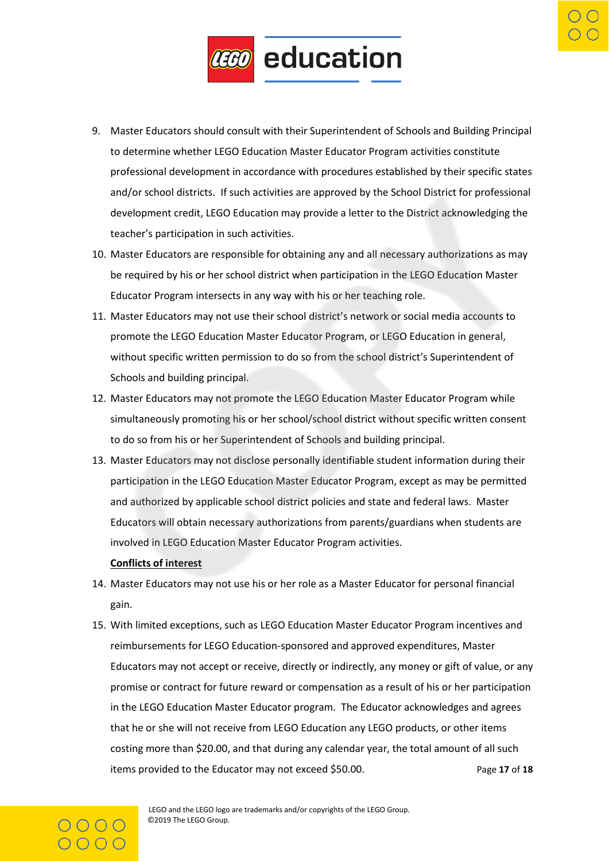

- 9. Master Educators should consult with their Superintendent of Schools and Building Principal to determine whether LEGO Education Master Educator Program activities constitute professional development in accordance with procedures established by their specific states and/or school districts. If such activities are approved by the School District for professional development credit, LEGO Education may provide a letter to the District acknowledging the teacher's participation in such activities.
- 10. Master Educators are responsible for obtaining any and all necessary authorizations as may be required by his or her school district when participation in the LEGO Education Master Educator Program intersects in any way with his or her teaching role.
- 11. Master Educators may not use their school district's network or social media accounts to promote the LEGO Education Master Educator Program, or LEGO Education in general, without specific written permission to do so from the school district's Superintendent of Schools and building principal.
- 12. Master Educators may not promote the LEGO Education Master Educator Program while simultaneously promoting his or her school/school district without specific written consent to do so from his or her Superintendent of Schools and building principal.
- 13. Master Educators may not disclose personally identifiable student information during their participation in the LEGO Education Master Educator Program, except as may be permitted and authorized by applicable school district policies and state and federal laws. Master Educators will obtain necessary authorizations from parents/guardians when students are involved in LEGO Education Master Educator Program activities.

#### **Conflicts of interest**

- 14. Master Educators may not use his or her role as a Master Educator for personal financial gain.
- 15. With limited exceptions, such as LEGO Education Master Educator Program incentives and reimbursements for LEGO Education-sponsored and approved expenditures, Master Educators may not accept or receive, directly or indirectly, any money or gift of value, or any promise or contract for future reward or compensation as a result of his or her participation in the LEGO Education Master Educator program. The Educator acknowledges and agrees that he or she will not receive from LEGO Education any LEGO products, or other items costing more than \$20.00, and that during any calendar year, the total amount of all such items provided to the Educator may not exceed \$50.00. Page **17** of **18**